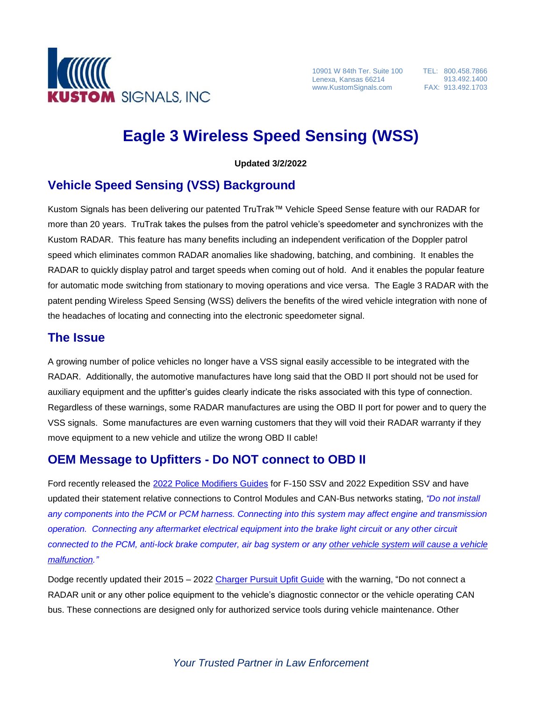

10901 W 84th Ter. Suite 100 Lenexa, Kansas 66214 www.KustomSignals.com

TEL: 800.458.7866 913.492.1400 FAX: 913.492.1703

# **Eagle 3 Wireless Speed Sensing (WSS)**

**Updated 3/2/2022**

### **Vehicle Speed Sensing (VSS) Background**

Kustom Signals has been delivering our patented TruTrak™ Vehicle Speed Sense feature with our RADAR for more than 20 years. TruTrak takes the pulses from the patrol vehicle's speedometer and synchronizes with the Kustom RADAR. This feature has many benefits including an independent verification of the Doppler patrol speed which eliminates common RADAR anomalies like shadowing, batching, and combining. It enables the RADAR to quickly display patrol and target speeds when coming out of hold. And it enables the popular feature for automatic mode switching from stationary to moving operations and vice versa. The Eagle 3 RADAR with the patent pending Wireless Speed Sensing (WSS) delivers the benefits of the wired vehicle integration with none of the headaches of locating and connecting into the electronic speedometer signal.

#### **The Issue**

A growing number of police vehicles no longer have a VSS signal easily accessible to be integrated with the RADAR. Additionally, the automotive manufactures have long said that the OBD II port should not be used for auxiliary equipment and the upfitter's guides clearly indicate the risks associated with this type of connection. Regardless of these warnings, some RADAR manufactures are using the OBD II port for power and to query the VSS signals. Some manufactures are even warning customers that they will void their RADAR warranty if they move equipment to a new vehicle and utilize the wrong OBD II cable!

#### **OEM Message to Upfitters - Do NOT connect to OBD II**

Ford recently released the 2022 Police [Modifiers Guides](https://fordbbas.com/publications) for F-150 SSV and 2022 Expedition SSV and have updated their statement relative connections to Control Modules and CAN-Bus networks stating, *"Do not install any components into the PCM or PCM harness. Connecting into this system may affect engine and transmission operation. Connecting any aftermarket electrical equipment into the brake light circuit or any other circuit connected to the PCM, anti-lock brake computer, air bag system or any other vehicle system will cause a vehicle malfunction."*

Dodge recently updated their 2015 – 2022 [Charger Pursuit Upfit](https://www.fcausfleet.com/content/dam/fca-fleet/na/fleet/en_us/shopping-tools/upfitting-guide/2022/2015-2022%20Charger%20Pursuit%20Upfitter%20Guide.pdf) Guide with the warning, "Do not connect a RADAR unit or any other police equipment to the vehicle's diagnostic connector or the vehicle operating CAN bus. These connections are designed only for authorized service tools during vehicle maintenance. Other